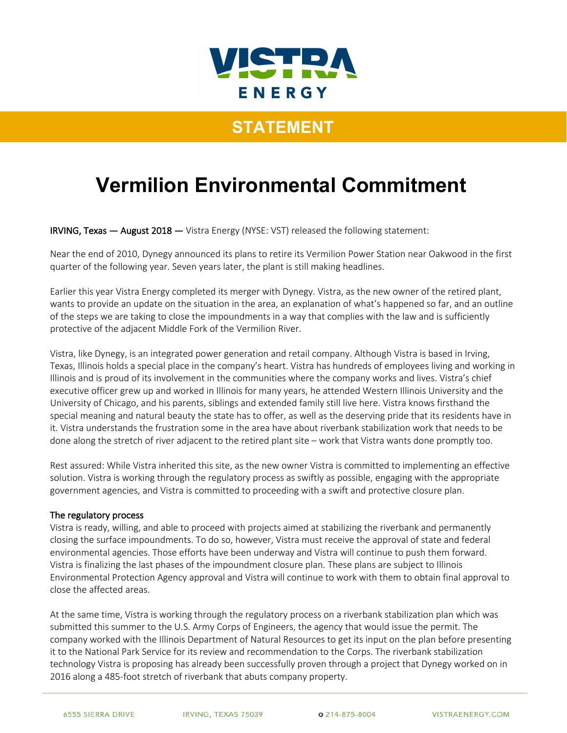

## **STATEMENT**

# **Vermilion Environmental Commitment**

IRVING, Texas — August 2018 — Vistra Energy (NYSE: VST) released the following statement:

Near the end of 2010, Dynegy announced its plans to retire its Vermilion Power Station near Oakwood in the first quarter of the following year. Seven years later, the plant is still making headlines.

Earlier this year Vistra Energy completed its merger with Dynegy. Vistra, as the new owner of the retired plant, wants to provide an update on the situation in the area, an explanation of what's happened so far, and an outline of the steps we are taking to close the impoundments in a way that complies with the law and is sufficiently protective of the adjacent Middle Fork of the Vermilion River.

Vistra, like Dynegy, is an integrated power generation and retail company. Although Vistra is based in Irving, Texas, Illinois holds a special place in the company's heart. Vistra has hundreds of employees living and working in Illinois and is proud of its involvement in the communities where the company works and lives. Vistra's chief executive officer grew up and worked in Illinois for many years, he attended Western Illinois University and the University of Chicago, and his parents, siblings and extended family still live here. Vistra knows firsthand the special meaning and natural beauty the state has to offer, as well as the deserving pride that its residents have in it. Vistra understands the frustration some in the area have about riverbank stabilization work that needs to be done along the stretch of river adjacent to the retired plant site – work that Vistra wants done promptly too.

Rest assured: While Vistra inherited this site, as the new owner Vistra is committed to implementing an effective solution. Vistra is working through the regulatory process as swiftly as possible, engaging with the appropriate government agencies, and Vistra is committed to proceeding with a swift and protective closure plan.

### The regulatory process

Vistra is ready, willing, and able to proceed with projects aimed at stabilizing the riverbank and permanently closing the surface impoundments. To do so, however, Vistra must receive the approval of state and federal environmental agencies. Those efforts have been underway and Vistra will continue to push them forward. Vistra is finalizing the last phases of the impoundment closure plan. These plans are subject to Illinois Environmental Protection Agency approval and Vistra will continue to work with them to obtain final approval to close the affected areas.

At the same time, Vistra is working through the regulatory process on a riverbank stabilization plan which was submitted this summer to the U.S. Army Corps of Engineers, the agency that would issue the permit. The company worked with the Illinois Department of Natural Resources to get its input on the plan before presenting it to the National Park Service for its review and recommendation to the Corps. The riverbank stabilization technology Vistra is proposing has already been successfully proven through a project that Dynegy worked on in 2016 along a 485-foot stretch of riverbank that abuts company property.